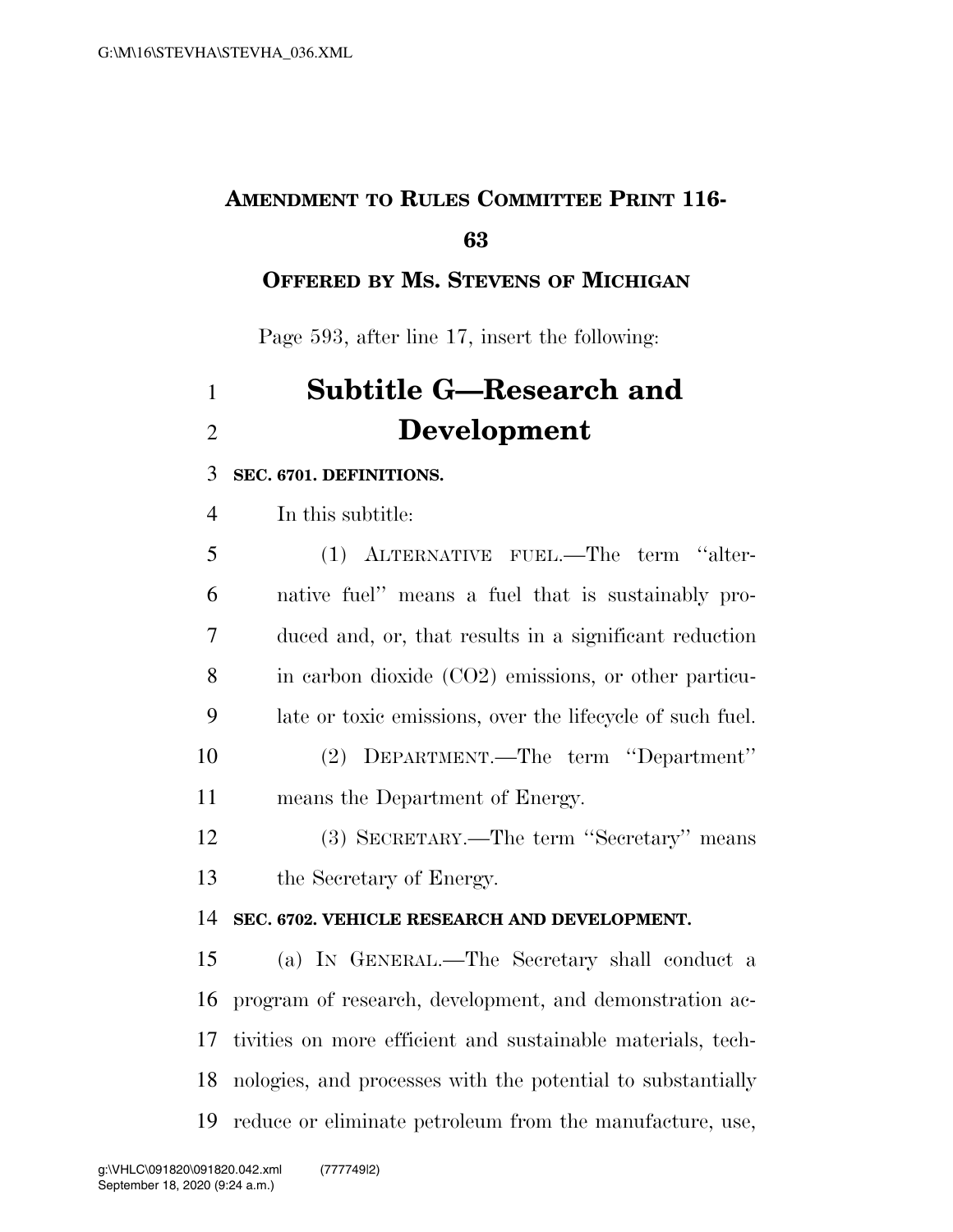### **AMENDMENT TO RULES COMMITTEE PRINT 116-**

#### **OFFERED BY MS. STEVENS OF MICHIGAN**

Page 593, after line 17, insert the following:

# **Subtitle G—Research and Development**

#### **SEC. 6701. DEFINITIONS.**

In this subtitle:

| 5  | (1) ALTERNATIVE FUEL.—The term "alter-                    |
|----|-----------------------------------------------------------|
| 6  | native fuel" means a fuel that is sustainably pro-        |
| 7  | duced and, or, that results in a significant reduction    |
| 8  | in carbon dioxide (CO2) emissions, or other particu-      |
| 9  | late or toxic emissions, over the lifecycle of such fuel. |
| 10 | (2) DEPARTMENT.—The term "Department"                     |
| 11 | means the Department of Energy.                           |
| 12 | (3) SECRETARY.—The term "Secretary" means                 |
| 13 | the Secretary of Energy.                                  |
| 14 | SEC. 6702. VEHICLE RESEARCH AND DEVELOPMENT.              |
| 15 | (a) IN GENERAL.—The Secretary shall conduct a             |
| 16 | program of research, development, and demonstration ac-   |

 tivities on more efficient and sustainable materials, tech-nologies, and processes with the potential to substantially

reduce or eliminate petroleum from the manufacture, use,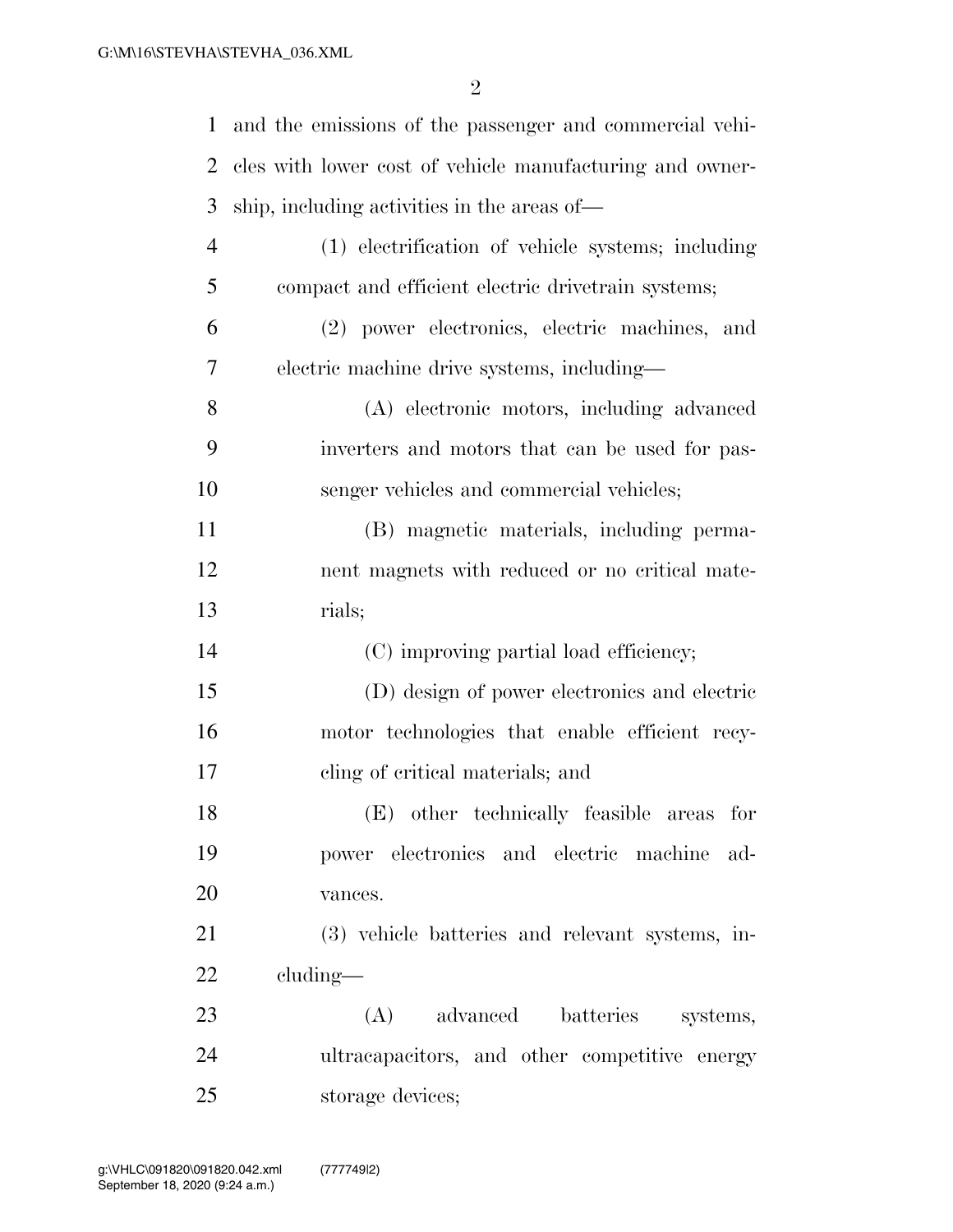| $\mathbf{1}$   | and the emissions of the passenger and commercial vehi-  |
|----------------|----------------------------------------------------------|
| 2              | cles with lower cost of vehicle manufacturing and owner- |
| 3              | ship, including activities in the areas of—              |
| $\overline{4}$ | (1) electrification of vehicle systems; including        |
| 5              | compact and efficient electric drivetrain systems;       |
| 6              | (2) power electronics, electric machines, and            |
| 7              | electric machine drive systems, including-               |
| 8              | (A) electronic motors, including advanced                |
| 9              | inverters and motors that can be used for pas-           |
| 10             | senger vehicles and commercial vehicles;                 |
| 11             | (B) magnetic materials, including perma-                 |
| 12             | nent magnets with reduced or no critical mate-           |
| 13             | rials;                                                   |
| 14             | (C) improving partial load efficiency;                   |
| 15             | (D) design of power electronics and electric             |
| 16             | motor technologies that enable efficient recy-           |
| 17             | cling of critical materials; and                         |
| 18             | $(E)$ other technically feasible areas for               |
| 19             | power electronics and electric machine ad-               |
| 20             | vances.                                                  |
| 21             | (3) vehicle batteries and relevant systems, in-          |
| 22             | cluding-                                                 |
| 23             | (A) advanced batteries systems,                          |
| 24             | ultracapacitors, and other competitive energy            |
| 25             | storage devices;                                         |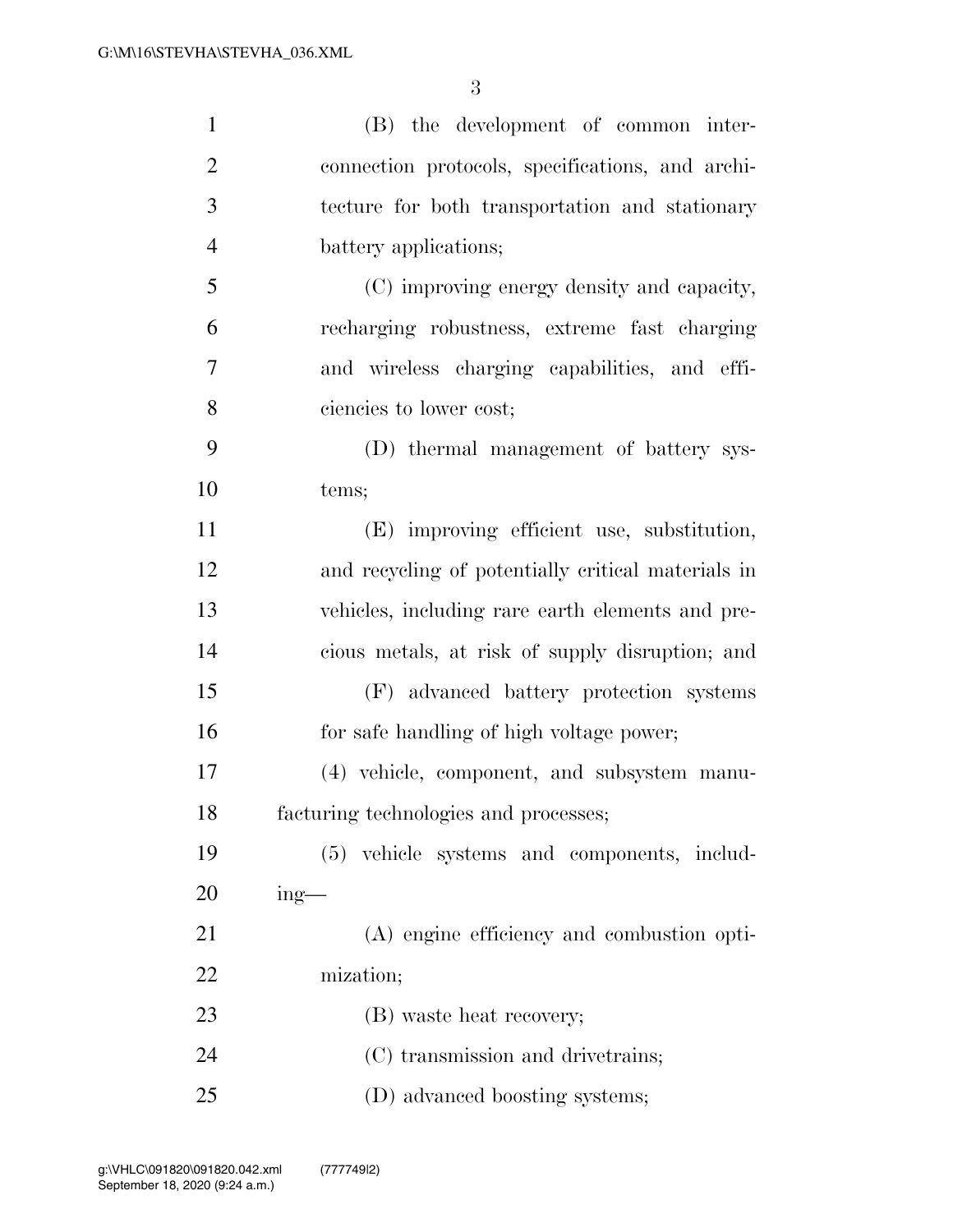| $\mathbf{1}$   | (B) the development of common inter-               |
|----------------|----------------------------------------------------|
| $\overline{2}$ | connection protocols, specifications, and archi-   |
| 3              | tecture for both transportation and stationary     |
| $\overline{4}$ | battery applications;                              |
| 5              | (C) improving energy density and capacity,         |
| 6              | recharging robustness, extreme fast charging       |
| $\overline{7}$ | and wireless charging capabilities, and effi-      |
| 8              | ciencies to lower cost;                            |
| 9              | (D) thermal management of battery sys-             |
| 10             | tems;                                              |
| 11             | (E) improving efficient use, substitution,         |
| 12             | and recycling of potentially critical materials in |
| 13             | vehicles, including rare earth elements and pre-   |
| 14             | cious metals, at risk of supply disruption; and    |
| 15             | (F) advanced battery protection systems            |
| 16             | for safe handling of high voltage power;           |
| 17             | (4) vehicle, component, and subsystem manu-        |
| 18             | facturing technologies and processes;              |
| 19             | (5) vehicle systems and components, includ-        |
| 20             | $ing$ —                                            |
| 21             | (A) engine efficiency and combustion opti-         |
| 22             | mization;                                          |
| 23             | (B) waste heat recovery;                           |
| 24             | (C) transmission and drivetrains;                  |
| 25             | (D) advanced boosting systems;                     |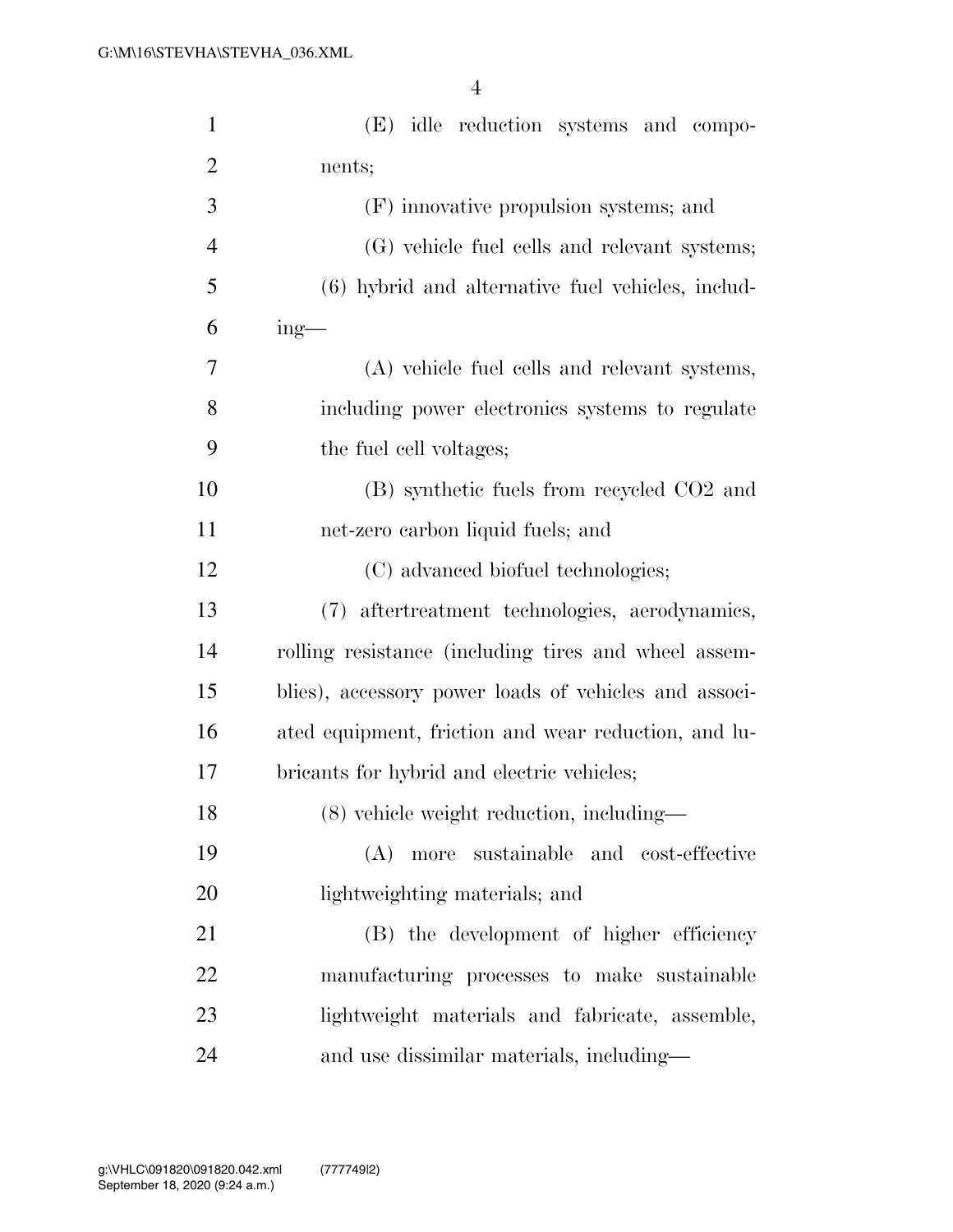| $\mathbf{1}$   | (E) idle reduction systems and compo-                 |
|----------------|-------------------------------------------------------|
| $\overline{2}$ | nents;                                                |
| 3              | (F) innovative propulsion systems; and                |
| $\overline{4}$ | (G) vehicle fuel cells and relevant systems;          |
| 5              | (6) hybrid and alternative fuel vehicles, includ-     |
| 6              | $ing$ —                                               |
| 7              | (A) vehicle fuel cells and relevant systems,          |
| 8              | including power electronics systems to regulate       |
| 9              | the fuel cell voltages;                               |
| 10             | (B) synthetic fuels from recycled CO2 and             |
| 11             | net-zero carbon liquid fuels; and                     |
| 12             | (C) advanced biofuel technologies;                    |
| 13             | aftertreatment technologies, aerodynamics,<br>(7)     |
| 14             | rolling resistance (including tires and wheel assem-  |
| 15             | blies), accessory power loads of vehicles and associ- |
| 16             | ated equipment, friction and wear reduction, and lu-  |
| 17             | bricants for hybrid and electric vehicles;            |
| 18             | $(8)$ vehicle weight reduction, including—            |
| 19             | more sustainable and cost-effective<br>(A)            |
| 20             | lightweighting materials; and                         |
| 21             | (B) the development of higher efficiency              |
| 22             | manufacturing processes to make sustainable           |
| 23             | lightweight materials and fabricate, assemble,        |
| 24             | and use dissimilar materials, including—              |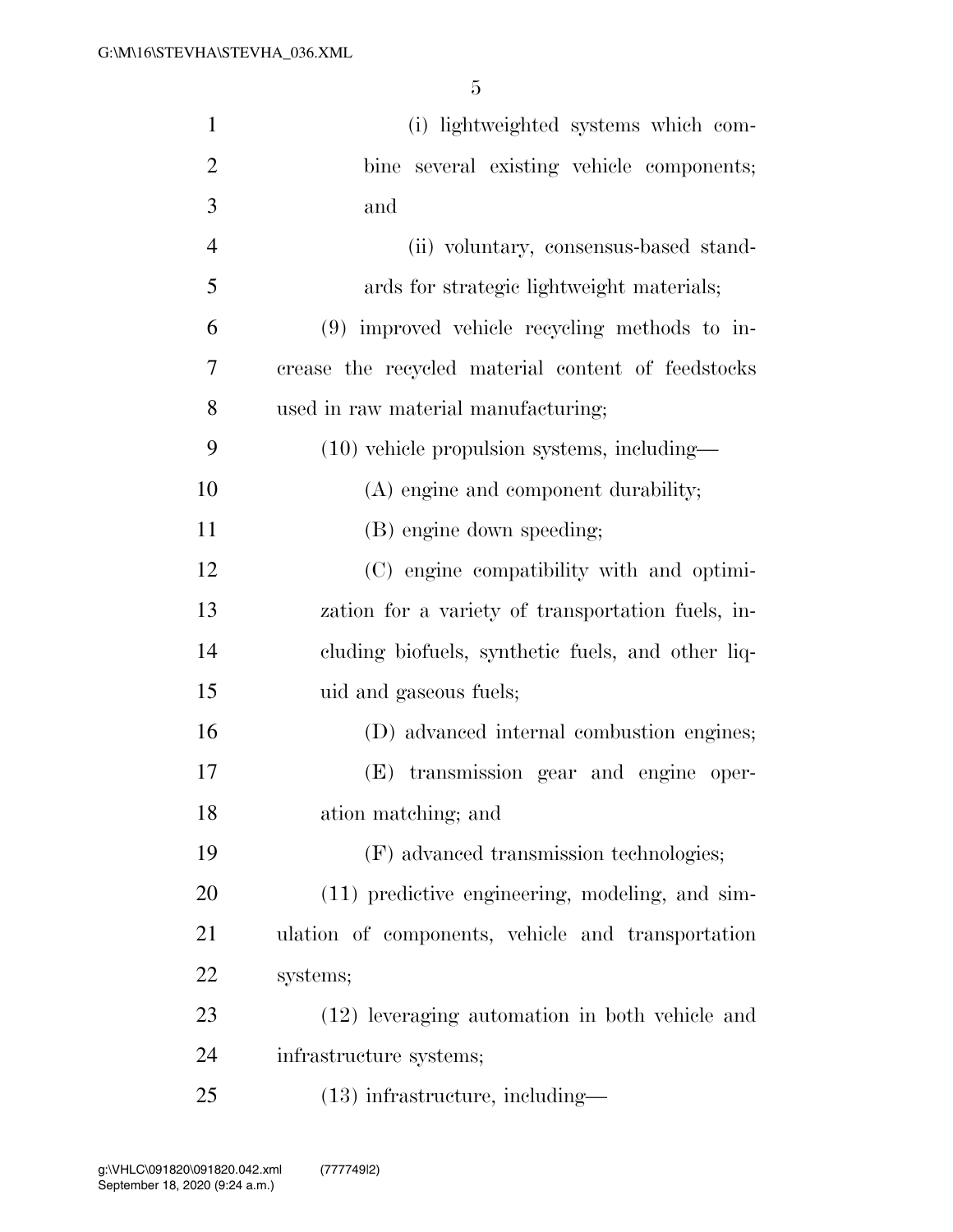| $\mathbf{1}$   | (i) lightweighted systems which com-               |
|----------------|----------------------------------------------------|
| $\overline{2}$ | bine several existing vehicle components;          |
| 3              | and                                                |
| $\overline{4}$ | (ii) voluntary, consensus-based stand-             |
| 5              | ards for strategic lightweight materials;          |
| 6              | (9) improved vehicle recycling methods to in-      |
| 7              | crease the recycled material content of feedstocks |
| 8              | used in raw material manufacturing;                |
| 9              | $(10)$ vehicle propulsion systems, including—      |
| 10             | (A) engine and component durability;               |
| 11             | (B) engine down speeding;                          |
| 12             | (C) engine compatibility with and optimi-          |
| 13             | zation for a variety of transportation fuels, in-  |
| 14             | cluding biofuels, synthetic fuels, and other liq-  |
| 15             | uid and gaseous fuels;                             |
| 16             | (D) advanced internal combustion engines;          |
| 17             | (E) transmission gear and engine oper-             |
| 18             | ation matching; and                                |
| 19             | (F) advanced transmission technologies;            |
| 20             | (11) predictive engineering, modeling, and sim-    |
| 21             | ulation of components, vehicle and transportation  |
| 22             | systems;                                           |
| 23             | (12) leveraging automation in both vehicle and     |
| 24             | infrastructure systems;                            |
| 25             | $(13)$ infrastructure, including—                  |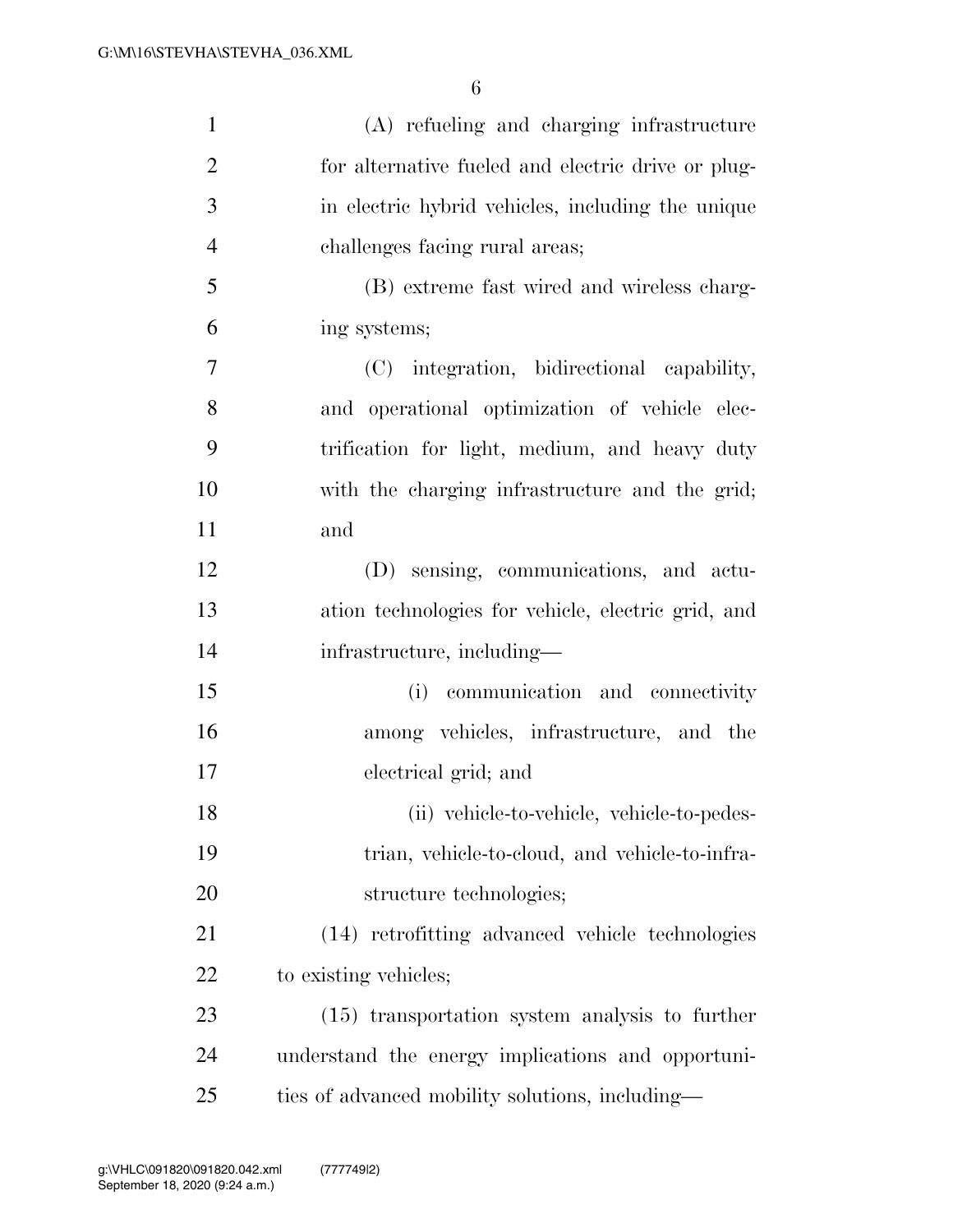| $\mathbf{1}$   | (A) refueling and charging infrastructure          |
|----------------|----------------------------------------------------|
| $\overline{2}$ | for alternative fueled and electric drive or plug- |
| 3              | in electric hybrid vehicles, including the unique  |
| $\overline{4}$ | challenges facing rural areas;                     |
| 5              | (B) extreme fast wired and wireless charg-         |
| 6              | ing systems;                                       |
| $\tau$         | (C) integration, bidirectional capability,         |
| 8              | and operational optimization of vehicle elec-      |
| 9              | trification for light, medium, and heavy duty      |
| 10             | with the charging infrastructure and the grid;     |
| 11             | and                                                |
| 12             | (D) sensing, communications, and actu-             |
| 13             | ation technologies for vehicle, electric grid, and |
| 14             | infrastructure, including—                         |
| 15             | communication and connectivity<br>(i)              |
| 16             | among vehicles, infrastructure, and the            |
| 17             | electrical grid; and                               |
| 18             | (ii) vehicle-to-vehicle, vehicle-to-pedes-         |
| 19             | trian, vehicle-to-cloud, and vehicle-to-infra-     |
| <b>20</b>      | structure technologies;                            |
| 21             | (14) retrofitting advanced vehicle technologies    |
| 22             | to existing vehicles;                              |
| 23             | $(15)$ transportation system analysis to further   |
| 24             | understand the energy implications and opportuni-  |
| 25             | ties of advanced mobility solutions, including—    |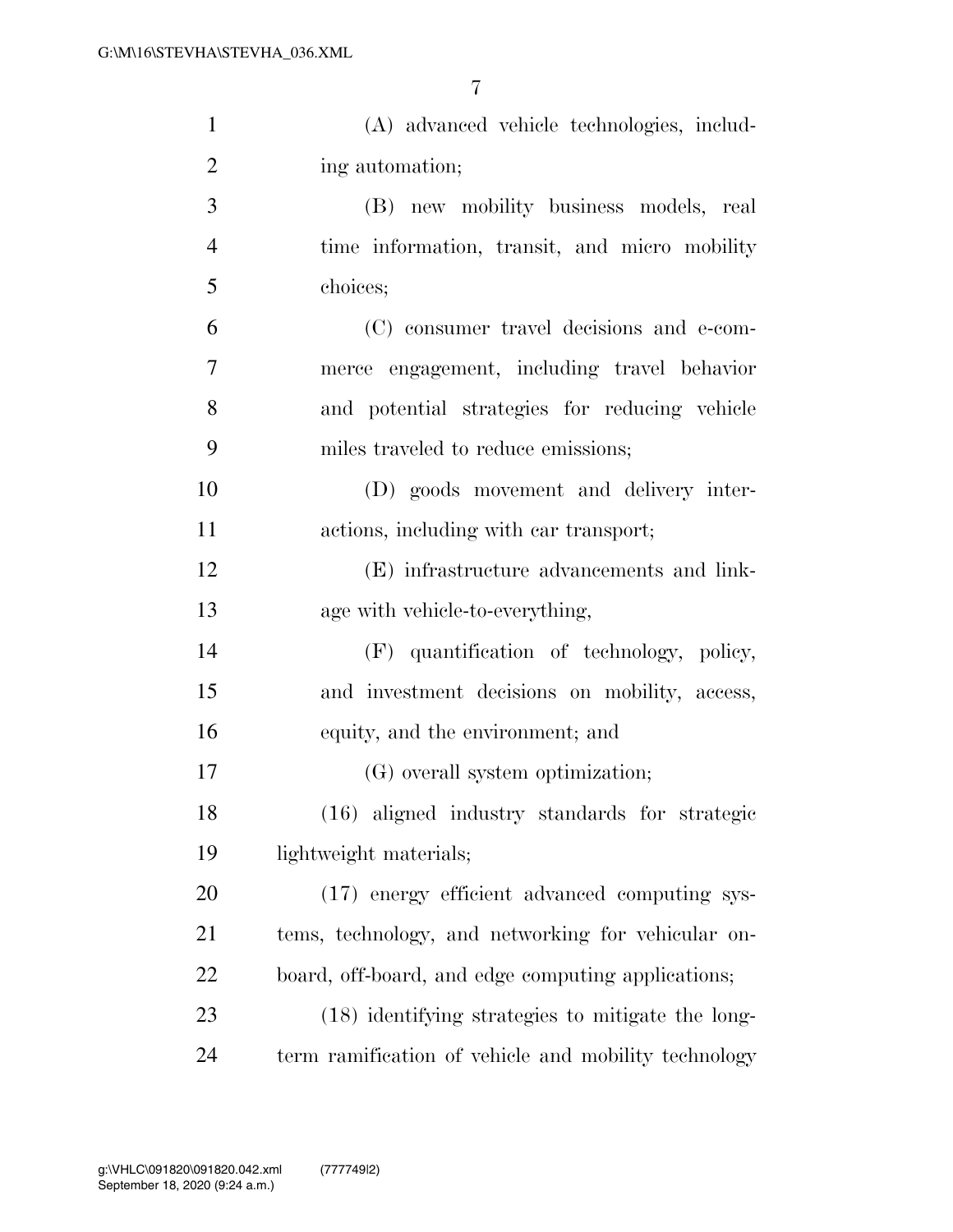| $\mathbf{1}$   | (A) advanced vehicle technologies, includ-           |
|----------------|------------------------------------------------------|
| $\overline{2}$ | ing automation;                                      |
| 3              | (B) new mobility business models, real               |
| $\overline{4}$ | time information, transit, and micro mobility        |
| 5              | choices;                                             |
| 6              | (C) consumer travel decisions and e-com-             |
| $\overline{7}$ | merce engagement, including travel behavior          |
| 8              | and potential strategies for reducing vehicle        |
| 9              | miles traveled to reduce emissions;                  |
| 10             | (D) goods movement and delivery inter-               |
| 11             | actions, including with car transport;               |
| 12             | (E) infrastructure advancements and link-            |
| 13             | age with vehicle-to-everything,                      |
| 14             | (F) quantification of technology, policy,            |
| 15             | and investment decisions on mobility, access,        |
| 16             | equity, and the environment; and                     |
| 17             | (G) overall system optimization;                     |
| 18             | (16) aligned industry standards for strategic        |
| 19             | lightweight materials;                               |
| 20             | (17) energy efficient advanced computing sys-        |
| 21             | tems, technology, and networking for vehicular on-   |
| 22             | board, off-board, and edge computing applications;   |
| 23             | (18) identifying strategies to mitigate the long-    |
| 24             | term ramification of vehicle and mobility technology |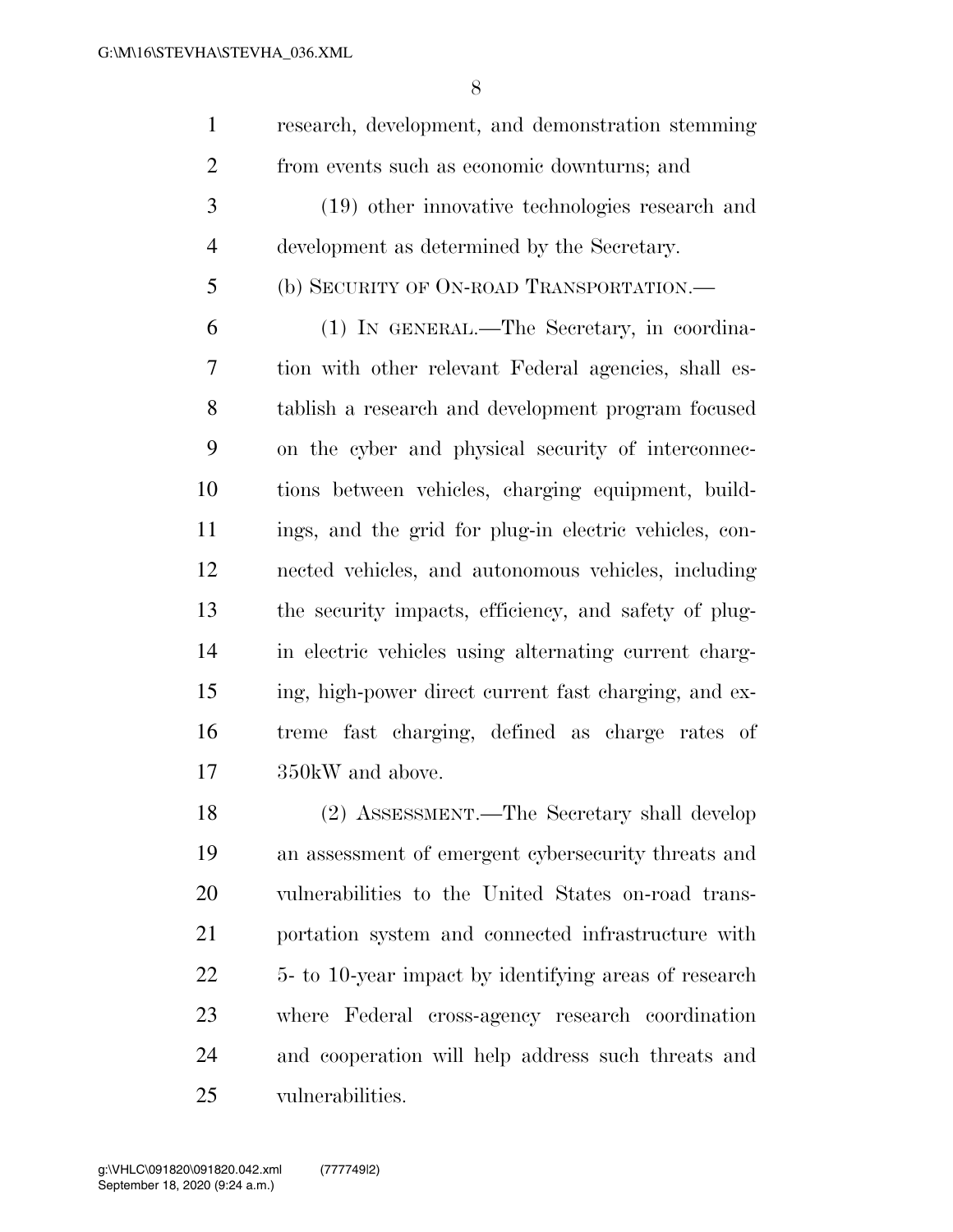| $\mathbf{1}$   | research, development, and demonstration stemming      |
|----------------|--------------------------------------------------------|
| $\overline{2}$ | from events such as economic downturns; and            |
| 3              | (19) other innovative technologies research and        |
| 4              | development as determined by the Secretary.            |
| 5              | (b) SECURITY OF ON-ROAD TRANSPORTATION.—               |
| 6              | (1) IN GENERAL.—The Secretary, in coordina-            |
| 7              | tion with other relevant Federal agencies, shall es-   |
| 8              | tablish a research and development program focused     |
| 9              | on the cyber and physical security of interconnec-     |
| 10             | tions between vehicles, charging equipment, build-     |
| 11             | ings, and the grid for plug-in electric vehicles, con- |
| 12             | nected vehicles, and autonomous vehicles, including    |
| 13             | the security impacts, efficiency, and safety of plug-  |
| 14             | in electric vehicles using alternating current charg-  |
| 15             | ing, high-power direct current fast charging, and ex-  |
| 16             | treme fast charging, defined as charge rates of        |
| 17             | 350kW and above.                                       |
| 18             | (2) ASSESSMENT.—The Secretary shall develop            |
| 19             | an assessment of emergent cybersecurity threats and    |
| 20             | vulnerabilities to the United States on-road trans-    |
| 21             | portation system and connected infrastructure with     |
| 22             | 5- to 10-year impact by identifying areas of research  |
| 23             | where Federal cross-agency research coordination       |

 and cooperation will help address such threats and vulnerabilities.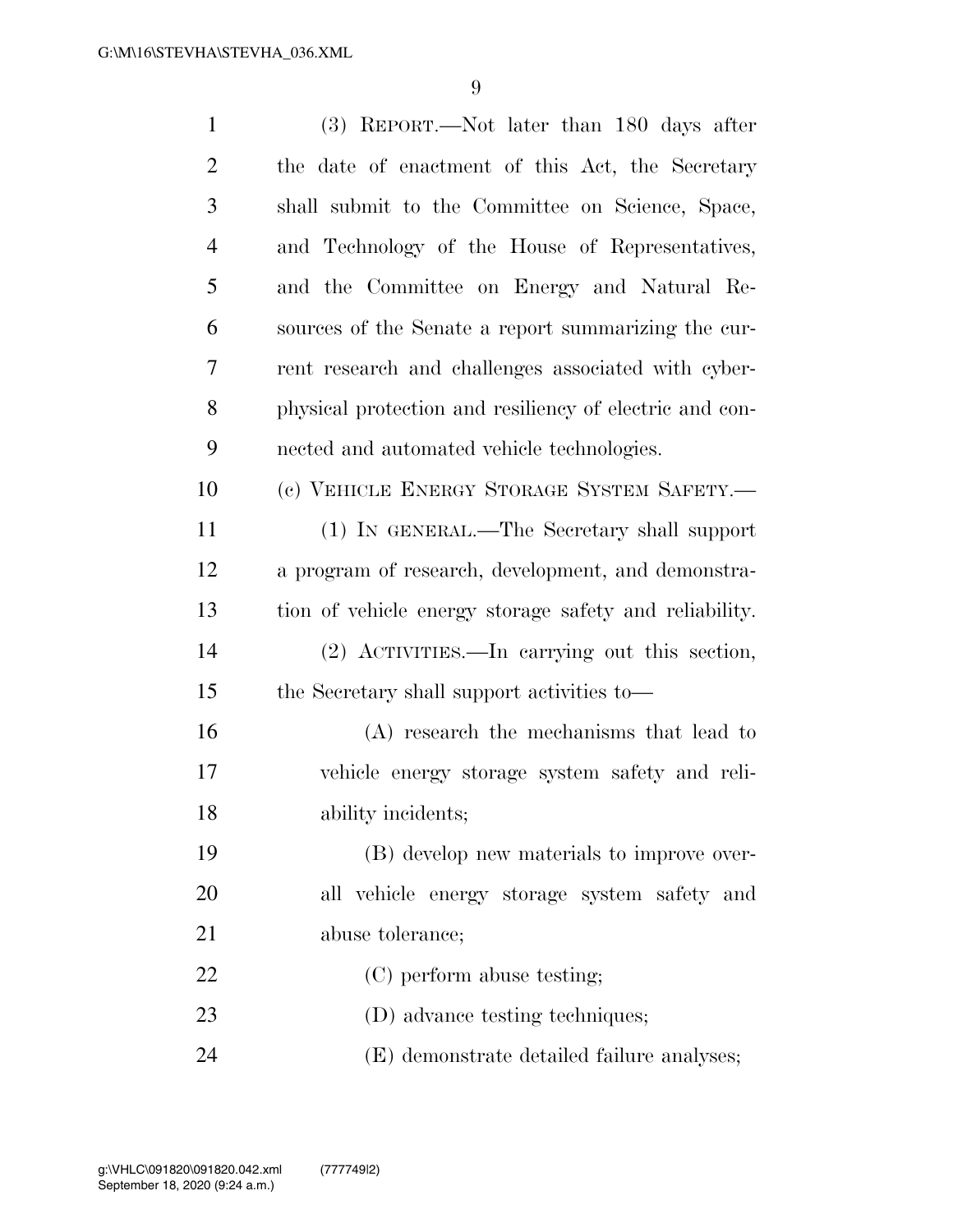| 1              | (3) REPORT.—Not later than 180 days after               |
|----------------|---------------------------------------------------------|
| $\overline{2}$ | the date of enactment of this Act, the Secretary        |
| 3              | shall submit to the Committee on Science, Space,        |
| $\overline{4}$ | and Technology of the House of Representatives,         |
| 5              | and the Committee on Energy and Natural Re-             |
| 6              | sources of the Senate a report summarizing the cur-     |
| 7              | rent research and challenges associated with cyber-     |
| 8              | physical protection and resiliency of electric and con- |
| 9              | nected and automated vehicle technologies.              |
| 10             | (c) VEHICLE ENERGY STORAGE SYSTEM SAFETY.-              |
| 11             | (1) IN GENERAL.—The Secretary shall support             |
| 12             | a program of research, development, and demonstra-      |
| 13             | tion of vehicle energy storage safety and reliability.  |
| 14             | (2) ACTIVITIES.—In carrying out this section,           |
| 15             | the Secretary shall support activities to—              |
| 16             | (A) research the mechanisms that lead to                |
| 17             | vehicle energy storage system safety and reli-          |
| 18             | ability incidents;                                      |
| 19             | (B) develop new materials to improve over-              |
| 20             | all vehicle energy storage system safety and            |
| 21             | abuse tolerance;                                        |
| 22             | (C) perform abuse testing;                              |
| 23             | (D) advance testing techniques;                         |
| 24             | (E) demonstrate detailed failure analyses;              |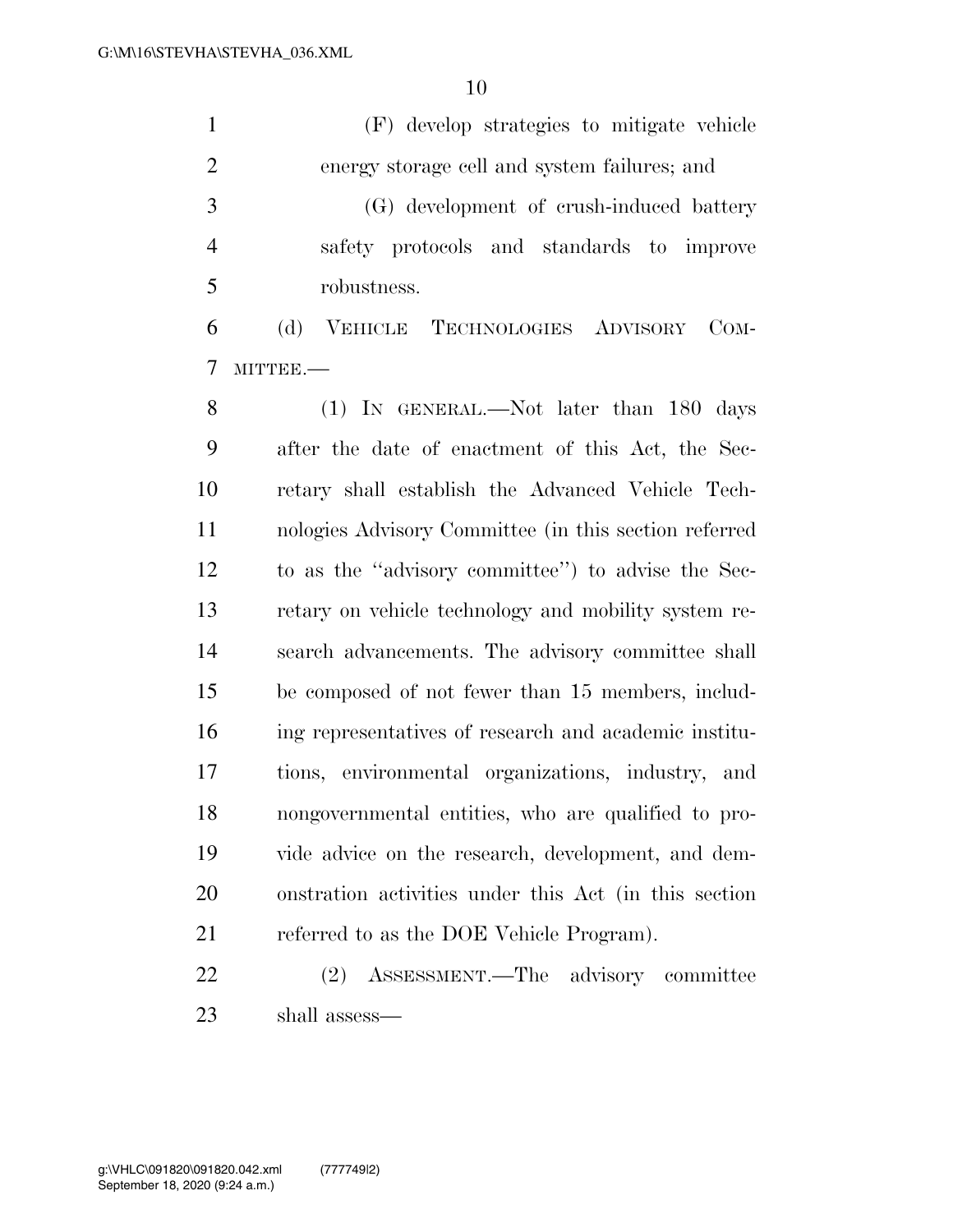(F) develop strategies to mitigate vehicle energy storage cell and system failures; and (G) development of crush-induced battery safety protocols and standards to improve robustness. (d) VEHICLE TECHNOLOGIES ADVISORY COM- MITTEE.— (1) IN GENERAL.—Not later than 180 days after the date of enactment of this Act, the Sec-

 retary shall establish the Advanced Vehicle Tech- nologies Advisory Committee (in this section referred to as the ''advisory committee'') to advise the Sec- retary on vehicle technology and mobility system re- search advancements. The advisory committee shall be composed of not fewer than 15 members, includ- ing representatives of research and academic institu- tions, environmental organizations, industry, and nongovernmental entities, who are qualified to pro- vide advice on the research, development, and dem- onstration activities under this Act (in this section 21 referred to as the DOE Vehicle Program).

 (2) ASSESSMENT.—The advisory committee shall assess—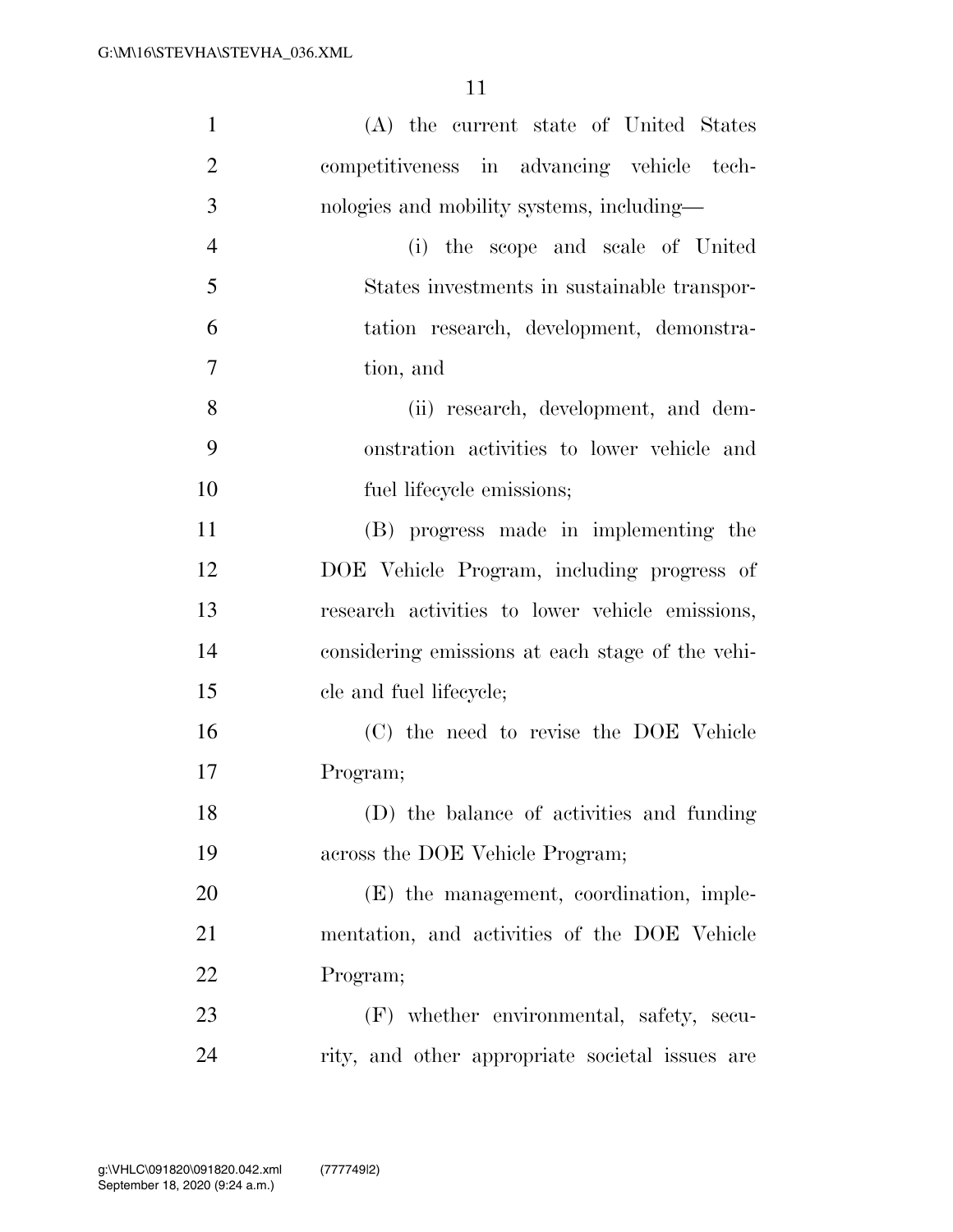| $\mathbf{1}$   | (A) the current state of United States           |
|----------------|--------------------------------------------------|
| $\overline{2}$ | competitiveness in advancing vehicle tech-       |
| 3              | nologies and mobility systems, including—        |
| $\overline{4}$ | (i) the scope and scale of United                |
| 5              | States investments in sustainable transpor-      |
| 6              | tation research, development, demonstra-         |
| 7              | tion, and                                        |
| 8              | (ii) research, development, and dem-             |
| 9              | onstration activities to lower vehicle and       |
| 10             | fuel lifecycle emissions;                        |
| 11             | (B) progress made in implementing the            |
| 12             | DOE Vehicle Program, including progress of       |
| 13             | research activities to lower vehicle emissions,  |
| 14             | considering emissions at each stage of the vehi- |
| 15             | cle and fuel lifecycle;                          |
| 16             | (C) the need to revise the DOE Vehicle           |
| 17             | Program;                                         |
| 18             | (D) the balance of activities and funding        |
| 19             | across the DOE Vehicle Program;                  |
| 20             | (E) the management, coordination, imple-         |
| 21             | mentation, and activities of the DOE Vehicle     |
| 22             | Program;                                         |
| 23             | (F) whether environmental, safety, secu-         |
| 24             | rity, and other appropriate societal issues are  |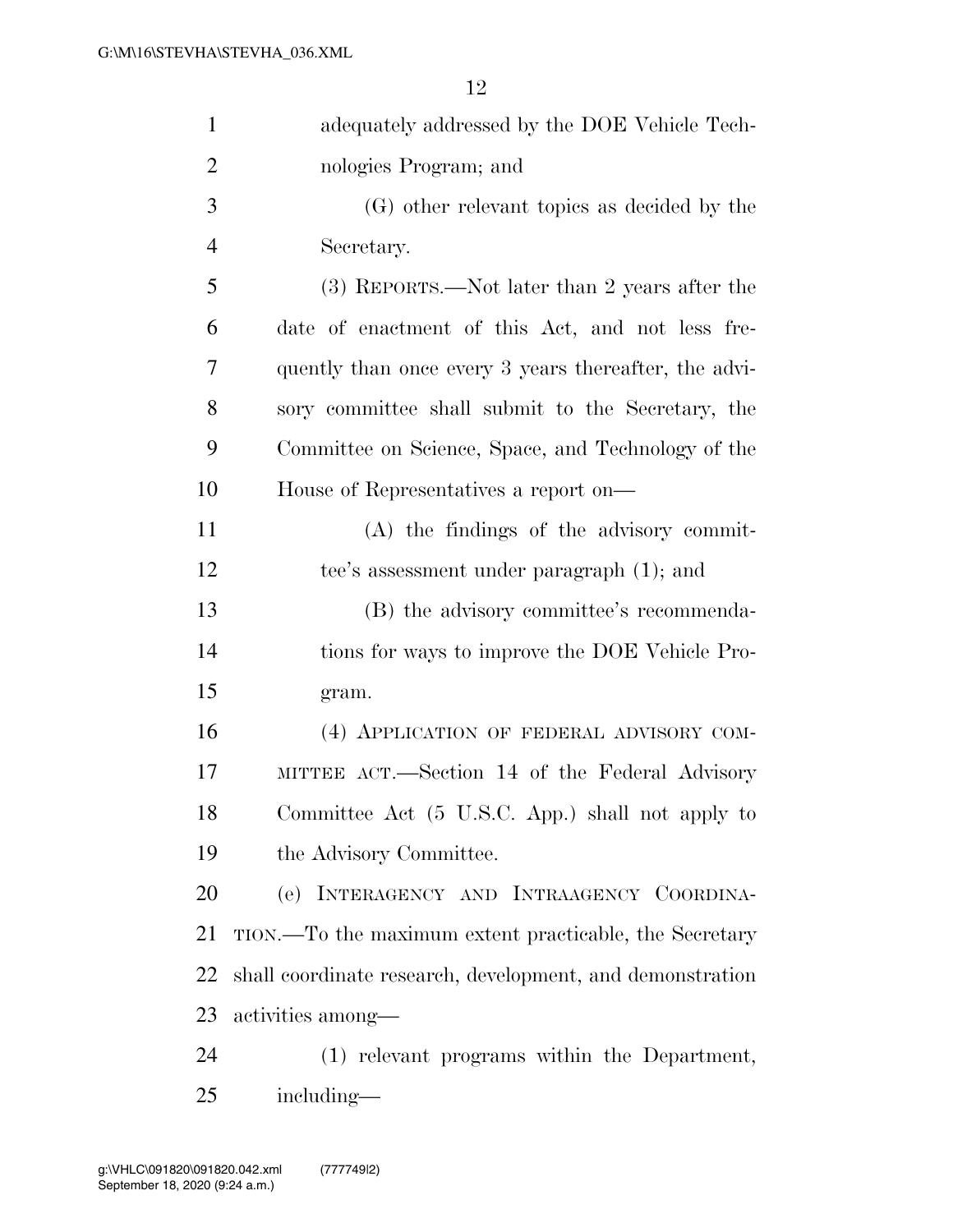| $\mathbf{1}$   | adequately addressed by the DOE Vehicle Tech-             |
|----------------|-----------------------------------------------------------|
| $\overline{2}$ | nologies Program; and                                     |
| 3              | (G) other relevant topics as decided by the               |
| $\overline{4}$ | Secretary.                                                |
| 5              | (3) REPORTS.—Not later than 2 years after the             |
| 6              | date of enactment of this Act, and not less fre-          |
| 7              | quently than once every 3 years thereafter, the advi-     |
| 8              | sory committee shall submit to the Secretary, the         |
| 9              | Committee on Science, Space, and Technology of the        |
| 10             | House of Representatives a report on—                     |
| 11             | (A) the findings of the advisory commit-                  |
| 12             | tee's assessment under paragraph (1); and                 |
| 13             | (B) the advisory committee's recommenda-                  |
| 14             | tions for ways to improve the DOE Vehicle Pro-            |
| 15             | gram.                                                     |
| 16             | (4) APPLICATION OF FEDERAL ADVISORY COM-                  |
| 17             | MITTEE ACT.—Section 14 of the Federal Advisory            |
| 18             | Committee Act (5 U.S.C. App.) shall not apply to          |
| 19             | the Advisory Committee.                                   |
| 20             | (e) INTERAGENCY AND INTRAAGENCY COORDINA-                 |
| 21             | TION.—To the maximum extent practicable, the Secretary    |
| 22             | shall coordinate research, development, and demonstration |
| 23             | activities among—                                         |
| 24             | (1) relevant programs within the Department,              |
| 25             | including—                                                |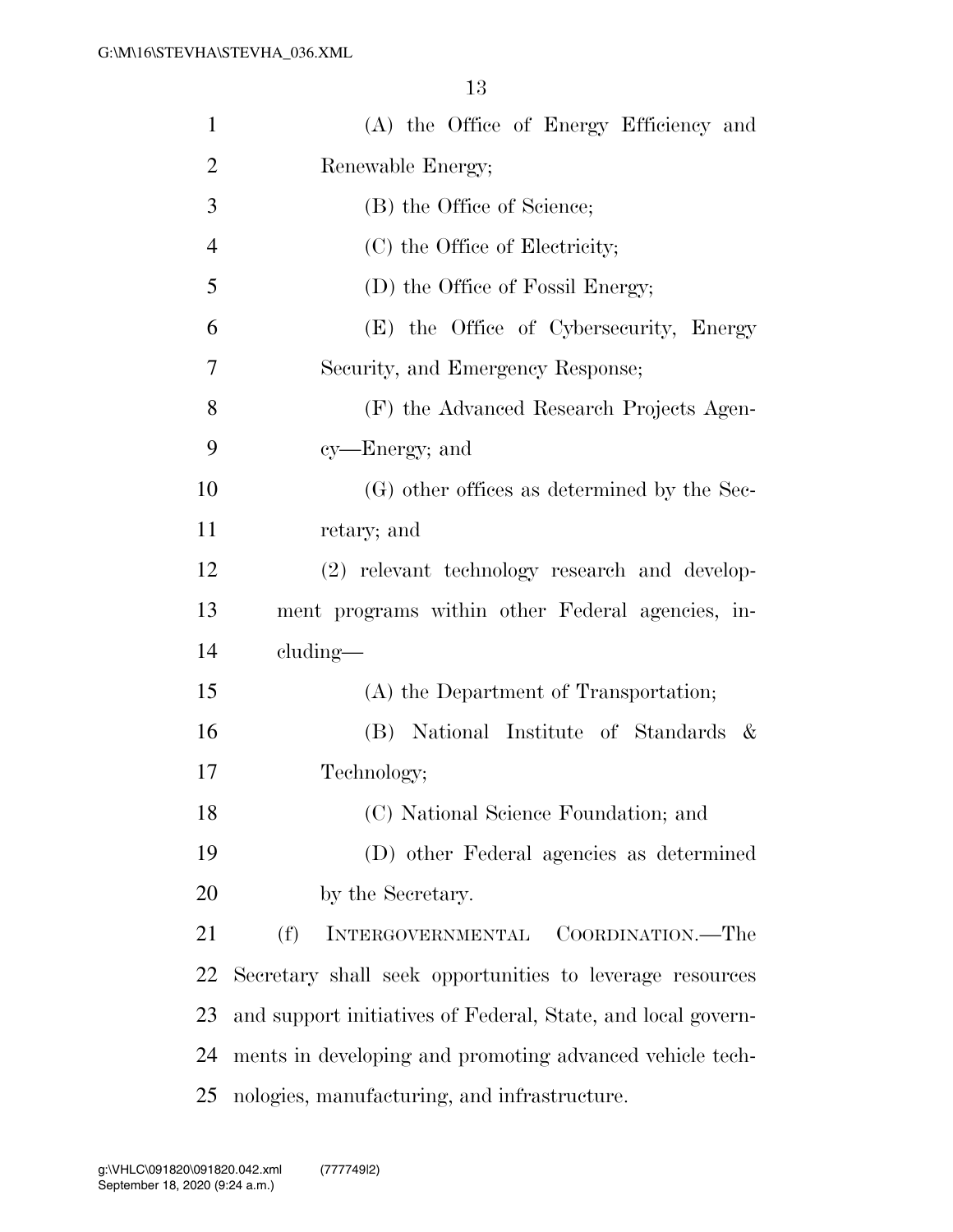| $\mathbf{1}$   | (A) the Office of Energy Efficiency and                      |
|----------------|--------------------------------------------------------------|
| $\overline{2}$ | Renewable Energy;                                            |
| 3              | (B) the Office of Science;                                   |
| $\overline{4}$ | (C) the Office of Electricity;                               |
| 5              | (D) the Office of Fossil Energy;                             |
| 6              | (E) the Office of Cybersecurity, Energy                      |
| 7              | Security, and Emergency Response;                            |
| 8              | (F) the Advanced Research Projects Agen-                     |
| 9              | cy—Energy; and                                               |
| 10             | (G) other offices as determined by the Sec-                  |
| 11             | retary; and                                                  |
| 12             | (2) relevant technology research and develop-                |
| 13             | ment programs within other Federal agencies, in-             |
| 14             | $cluding$ —                                                  |
| 15             | (A) the Department of Transportation;                        |
| 16             | (B) National Institute of Standards &                        |
| 17             | Technology;                                                  |
| 18             | (C) National Science Foundation; and                         |
| 19             | (D) other Federal agencies as determined                     |
| 20             | by the Secretary.                                            |
| 21             | (f)<br>INTERGOVERNMENTAL<br>COORDINATION.—The                |
| 22             | Secretary shall seek opportunities to leverage resources     |
| 23             | and support initiatives of Federal, State, and local govern- |
| 24             | ments in developing and promoting advanced vehicle tech-     |
| 25             | nologies, manufacturing, and infrastructure.                 |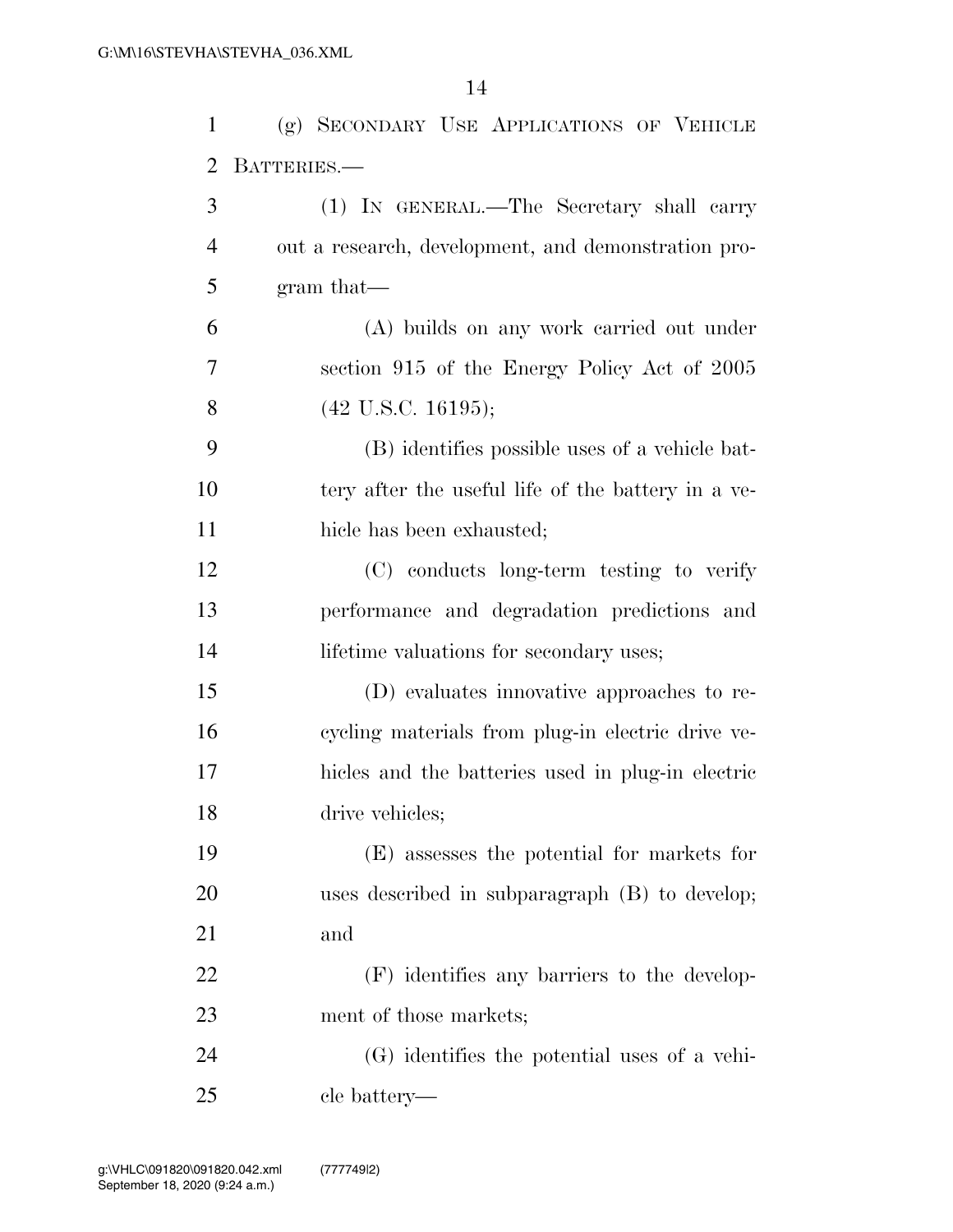| $\mathbf{1}$   | (g) SECONDARY USE APPLICATIONS OF VEHICLE           |
|----------------|-----------------------------------------------------|
| $\overline{2}$ | BATTERIES.                                          |
| 3              | (1) IN GENERAL.—The Secretary shall carry           |
| $\overline{4}$ | out a research, development, and demonstration pro- |
| 5              | $gram that$ —                                       |
| 6              | (A) builds on any work carried out under            |
| 7              | section 915 of the Energy Policy Act of 2005        |
| 8              | $(42 \text{ U.S.C. } 16195);$                       |
| 9              | (B) identifies possible uses of a vehicle bat-      |
| 10             | tery after the useful life of the battery in a ve-  |
| 11             | hicle has been exhausted;                           |
| 12             | (C) conducts long-term testing to verify            |
| 13             | performance and degradation predictions and         |
| 14             | lifetime valuations for secondary uses;             |
| 15             | (D) evaluates innovative approaches to re-          |
| 16             | cycling materials from plug-in electric drive ve-   |
| 17             | hicles and the batteries used in plug-in electric   |
| 18             | drive vehicles;                                     |
| 19             | (E) assesses the potential for markets for          |
| 20             | uses described in subparagraph (B) to develop;      |
| 21             | and                                                 |
| 22             | (F) identifies any barriers to the develop-         |
| 23             | ment of those markets;                              |
| 24             | (G) identifies the potential uses of a vehi-        |
| 25             | cle battery—                                        |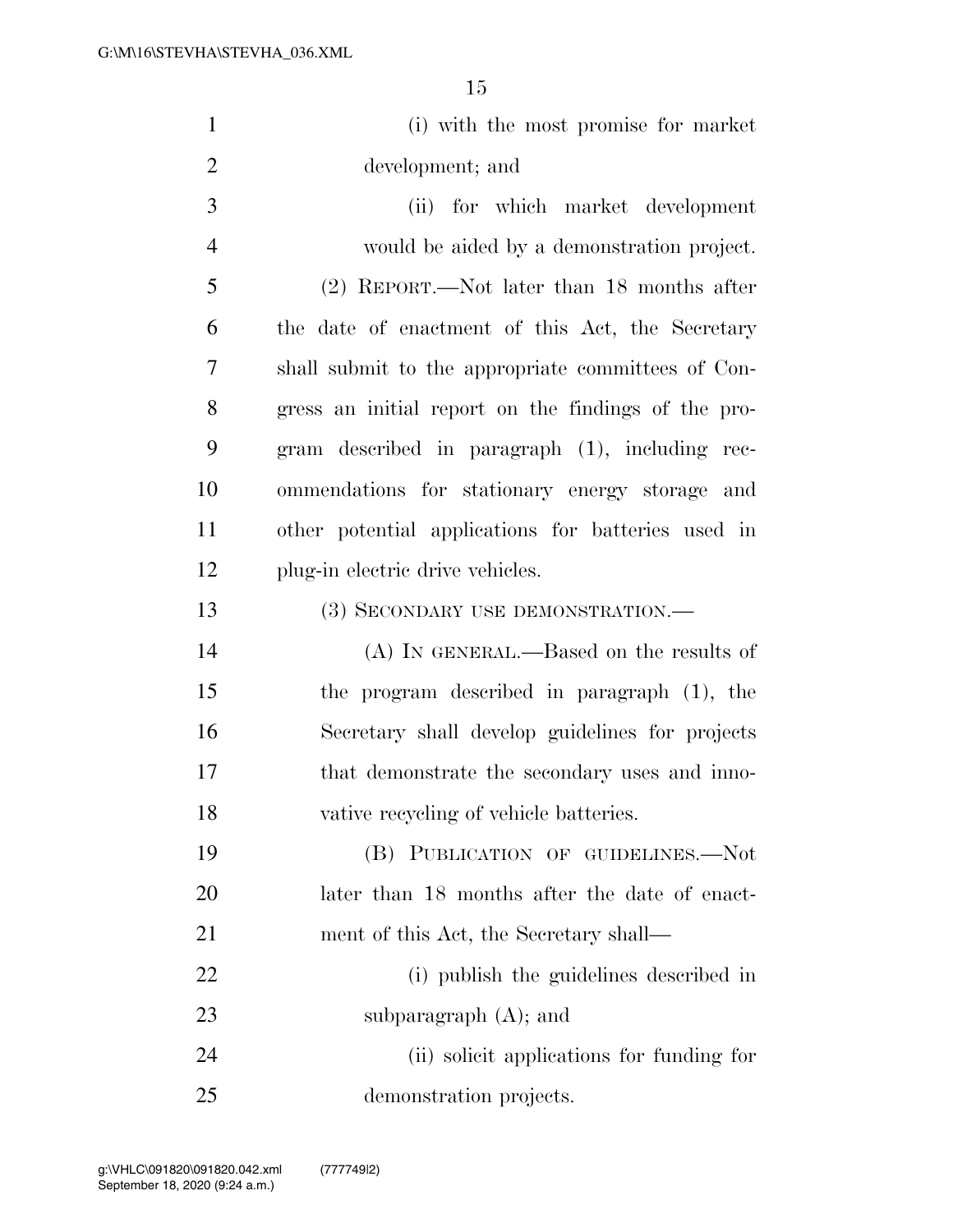| $\mathbf{1}$   | (i) with the most promise for market                |
|----------------|-----------------------------------------------------|
| $\overline{2}$ | development; and                                    |
| 3              | (ii) for which market development                   |
| $\overline{4}$ | would be aided by a demonstration project.          |
| 5              | (2) REPORT.—Not later than 18 months after          |
| 6              | the date of enactment of this Act, the Secretary    |
| 7              | shall submit to the appropriate committees of Con-  |
| 8              | gress an initial report on the findings of the pro- |
| 9              | gram described in paragraph (1), including rec-     |
| 10             | ommendations for stationary energy storage and      |
| 11             | other potential applications for batteries used in  |
| 12             | plug-in electric drive vehicles.                    |
| 13             | (3) SECONDARY USE DEMONSTRATION.—                   |
| 14             | $(A)$ In GENERAL.—Based on the results of           |
| 15             | the program described in paragraph (1), the         |
| 16             | Secretary shall develop guidelines for projects     |
| 17             | that demonstrate the secondary uses and inno-       |
| 18             | vative recycling of vehicle batteries.              |
| 19             | (B) PUBLICATION OF GUIDELINES.-Not                  |
| 20             | later than 18 months after the date of enact-       |
| 21             | ment of this Act, the Secretary shall—              |
| 22             | (i) publish the guidelines described in             |
| 23             | subparagraph $(A)$ ; and                            |
| 24             | (ii) solicit applications for funding for           |
| 25             | demonstration projects.                             |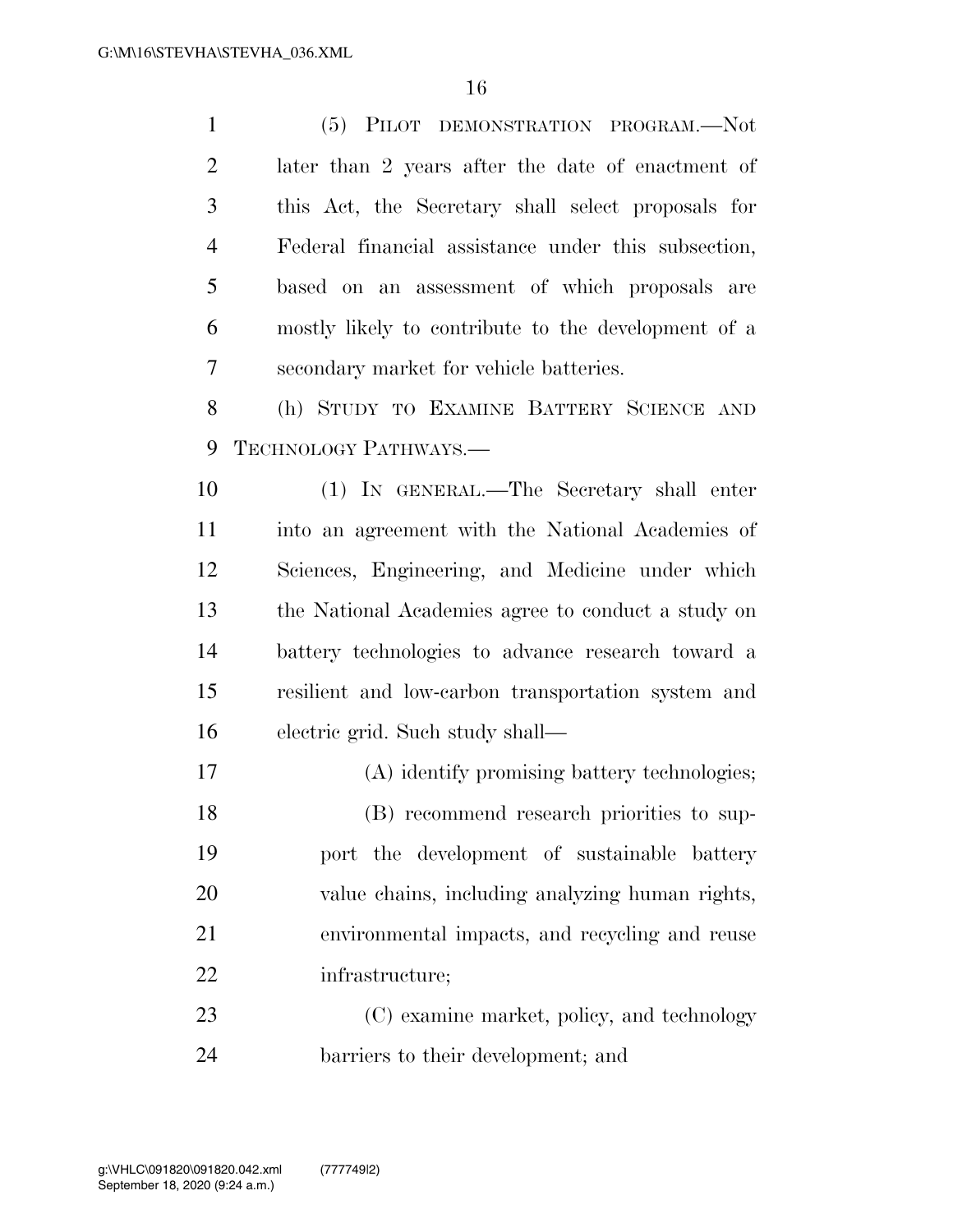(5) PILOT DEMONSTRATION PROGRAM.—Not later than 2 years after the date of enactment of this Act, the Secretary shall select proposals for Federal financial assistance under this subsection, based on an assessment of which proposals are mostly likely to contribute to the development of a secondary market for vehicle batteries. (h) STUDY TO EXAMINE BATTERY SCIENCE AND TECHNOLOGY PATHWAYS.— (1) IN GENERAL.—The Secretary shall enter into an agreement with the National Academies of Sciences, Engineering, and Medicine under which the National Academies agree to conduct a study on battery technologies to advance research toward a resilient and low-carbon transportation system and electric grid. Such study shall— (A) identify promising battery technologies; (B) recommend research priorities to sup- port the development of sustainable battery value chains, including analyzing human rights, environmental impacts, and recycling and reuse infrastructure; 23 (C) examine market, policy, and technology

barriers to their development; and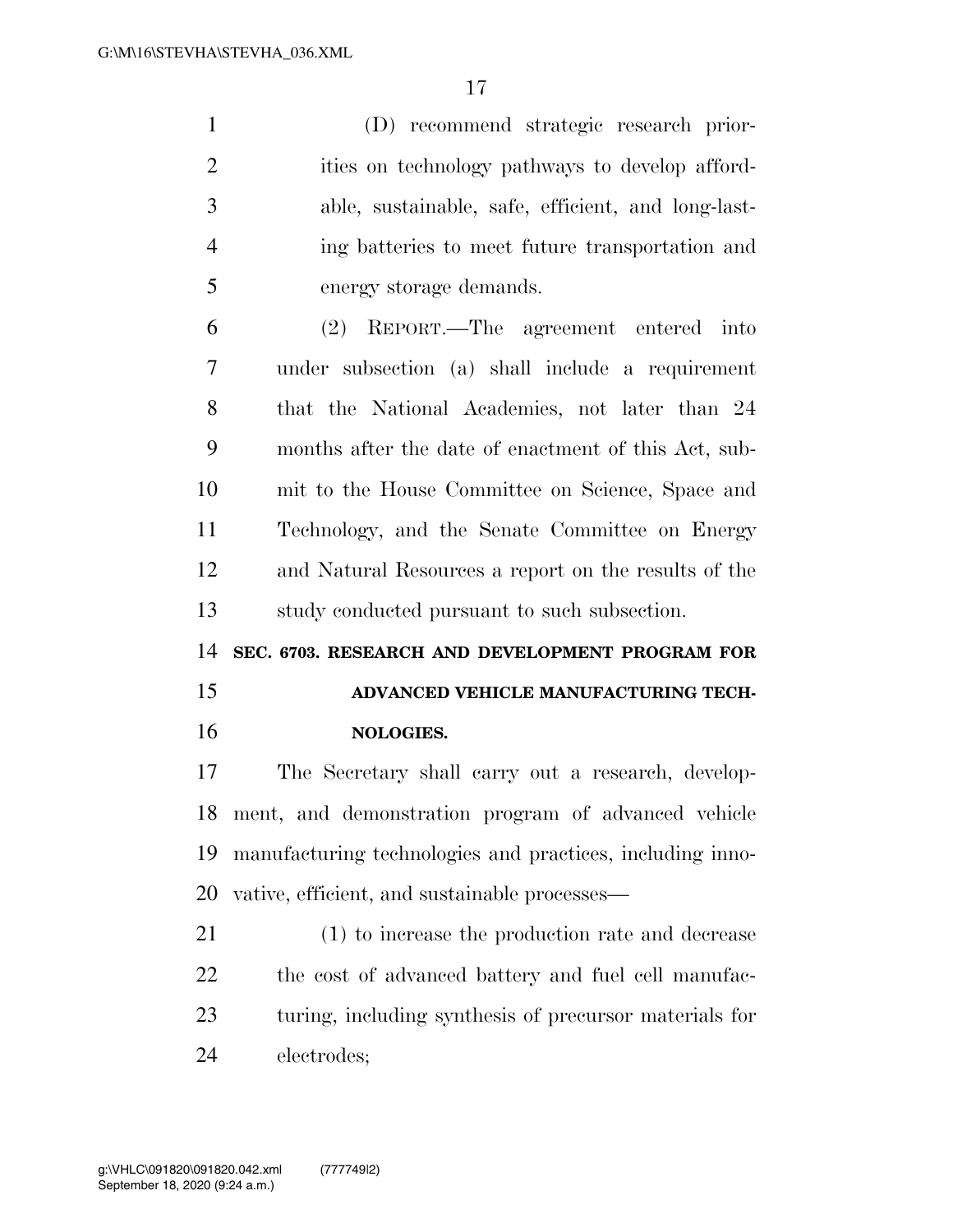(D) recommend strategic research prior-2 ities on technology pathways to develop afford- able, sustainable, safe, efficient, and long-last- ing batteries to meet future transportation and energy storage demands.

 (2) REPORT.—The agreement entered into under subsection (a) shall include a requirement that the National Academies, not later than 24 months after the date of enactment of this Act, sub- mit to the House Committee on Science, Space and Technology, and the Senate Committee on Energy and Natural Resources a report on the results of the study conducted pursuant to such subsection.

**SEC. 6703. RESEARCH AND DEVELOPMENT PROGRAM FOR** 

**ADVANCED VEHICLE MANUFACTURING TECH-**

#### **NOLOGIES.**

 The Secretary shall carry out a research, develop- ment, and demonstration program of advanced vehicle manufacturing technologies and practices, including inno-vative, efficient, and sustainable processes—

 (1) to increase the production rate and decrease the cost of advanced battery and fuel cell manufac- turing, including synthesis of precursor materials for electrodes;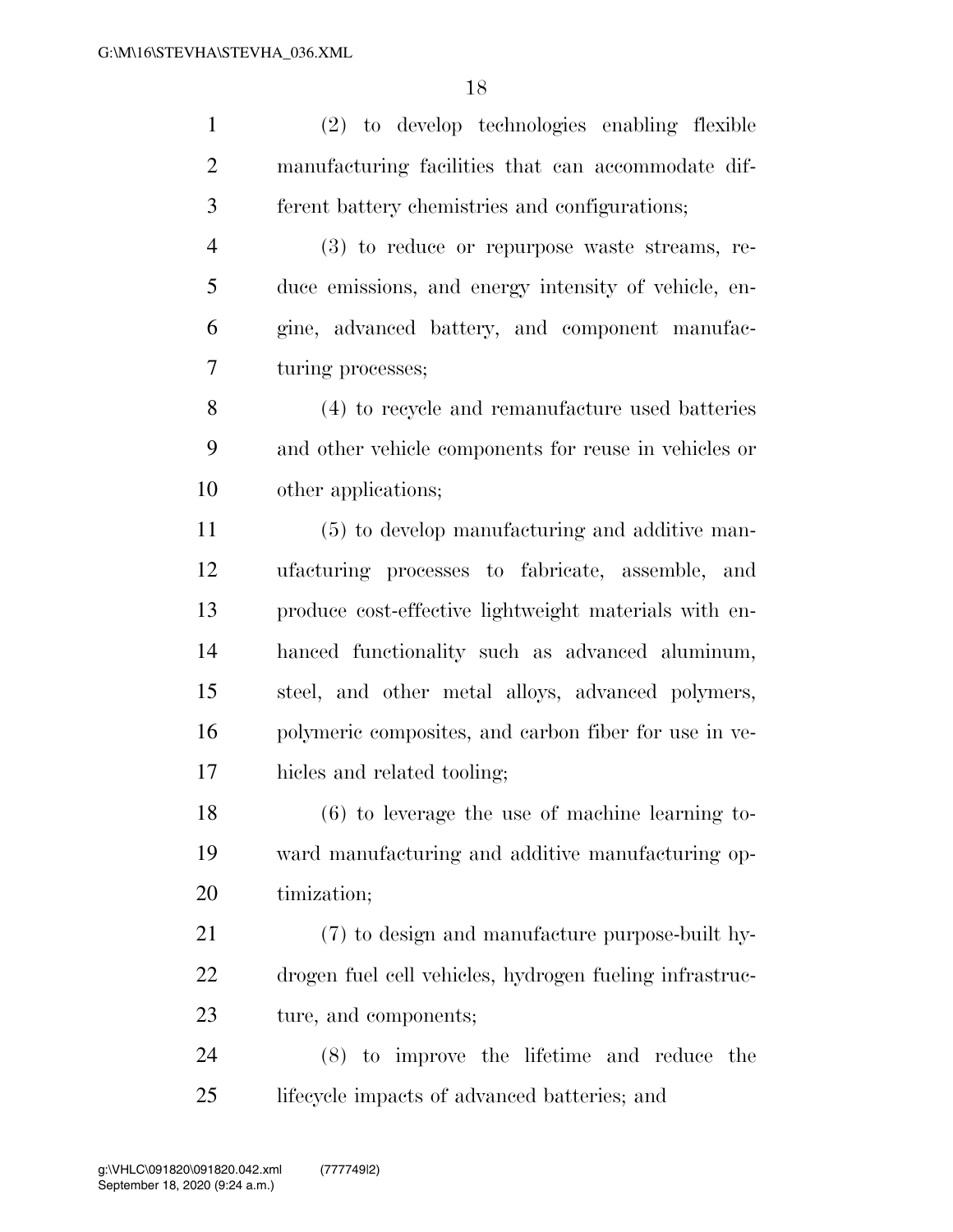(2) to develop technologies enabling flexible manufacturing facilities that can accommodate dif- ferent battery chemistries and configurations; (3) to reduce or repurpose waste streams, re- duce emissions, and energy intensity of vehicle, en- gine, advanced battery, and component manufac- turing processes; (4) to recycle and remanufacture used batteries and other vehicle components for reuse in vehicles or other applications; (5) to develop manufacturing and additive man- ufacturing processes to fabricate, assemble, and produce cost-effective lightweight materials with en- hanced functionality such as advanced aluminum, steel, and other metal alloys, advanced polymers, polymeric composites, and carbon fiber for use in ve- hicles and related tooling; (6) to leverage the use of machine learning to- ward manufacturing and additive manufacturing op- timization; (7) to design and manufacture purpose-built hy- drogen fuel cell vehicles, hydrogen fueling infrastruc- ture, and components; (8) to improve the lifetime and reduce the lifecycle impacts of advanced batteries; and